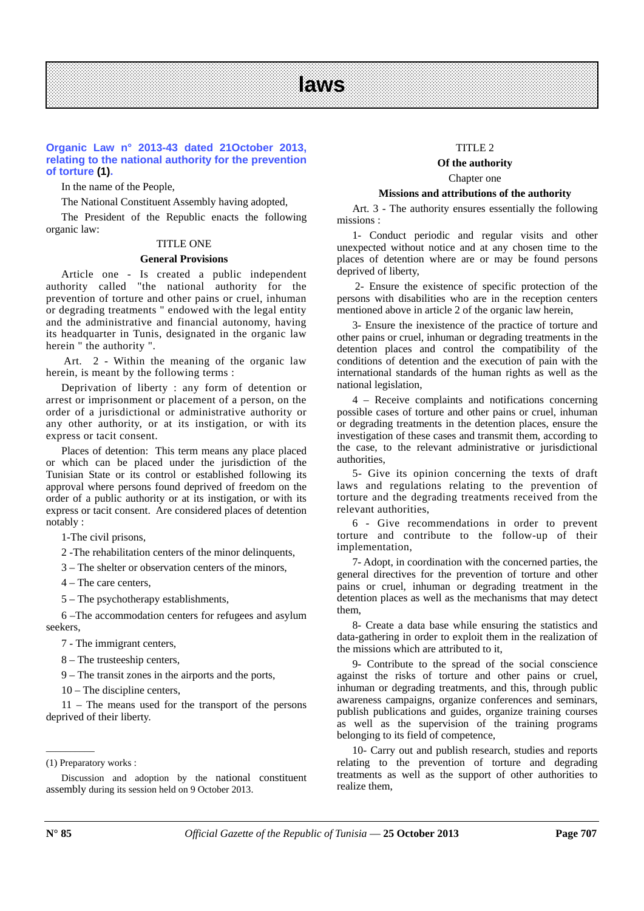### **Organic Law n° 2013-43 dated 21October 2013, relating to the national authority for the prevention of torture (1).**

In the name of the People,

The National Constituent Assembly having adopted,

The President of the Republic enacts the following organic law:

### TITLE ONE

#### **General Provisions**

Article one - Is created a public independent authority called "the national authority for the prevention of torture and other pains or cruel, inhuman or degrading treatments " endowed with the legal entity and the administrative and financial autonomy, having its headquarter in Tunis, designated in the organic law herein " the authority ".

 Art. 2 - Within the meaning of the organic law herein, is meant by the following terms :

Deprivation of liberty : any form of detention or arrest or imprisonment or placement of a person, on the order of a jurisdictional or administrative authority or any other authority, or at its instigation, or with its express or tacit consent.

Places of detention: This term means any place placed or which can be placed under the jurisdiction of the Tunisian State or its control or established following its approval where persons found deprived of freedom on the order of a public authority or at its instigation, or with its express or tacit consent. Are considered places of detention notably :

1-The civil prisons,

2 -The rehabilitation centers of the minor delinquents,

3 – The shelter or observation centers of the minors,

4 – The care centers,

5 – The psychotherapy establishments,

6 –The accommodation centers for refugees and asylum seekers,

7 - The immigrant centers,

8 – The trusteeship centers,

9 – The transit zones in the airports and the ports,

10 – The discipline centers,

11 – The means used for the transport of the persons deprived of their liberty.

 $\overline{\phantom{a}}$   $\overline{\phantom{a}}$   $\overline{\phantom{a}}$   $\overline{\phantom{a}}$   $\overline{\phantom{a}}$   $\overline{\phantom{a}}$   $\overline{\phantom{a}}$   $\overline{\phantom{a}}$   $\overline{\phantom{a}}$   $\overline{\phantom{a}}$   $\overline{\phantom{a}}$   $\overline{\phantom{a}}$   $\overline{\phantom{a}}$   $\overline{\phantom{a}}$   $\overline{\phantom{a}}$   $\overline{\phantom{a}}$   $\overline{\phantom{a}}$   $\overline{\phantom{a}}$   $\overline{\$ 

### TITLE 2

### **Of the authority**

#### Chapter one

### **Missions and attributions of the authority**

Art. 3 - The authority ensures essentially the following missions :

1- Conduct periodic and regular visits and other unexpected without notice and at any chosen time to the places of detention where are or may be found persons deprived of liberty,

 2- Ensure the existence of specific protection of the persons with disabilities who are in the reception centers mentioned above in article 2 of the organic law herein,

3- Ensure the inexistence of the practice of torture and other pains or cruel, inhuman or degrading treatments in the detention places and control the compatibility of the conditions of detention and the execution of pain with the international standards of the human rights as well as the national legislation,

4 – Receive complaints and notifications concerning possible cases of torture and other pains or cruel, inhuman or degrading treatments in the detention places, ensure the investigation of these cases and transmit them, according to the case, to the relevant administrative or jurisdictional authorities,

5- Give its opinion concerning the texts of draft laws and regulations relating to the prevention of torture and the degrading treatments received from the relevant authorities,

6 - Give recommendations in order to prevent torture and contribute to the follow-up of their implementation,

7- Adopt, in coordination with the concerned parties, the general directives for the prevention of torture and other pains or cruel, inhuman or degrading treatment in the detention places as well as the mechanisms that may detect them,

8- Create a data base while ensuring the statistics and data-gathering in order to exploit them in the realization of the missions which are attributed to it,

9- Contribute to the spread of the social conscience against the risks of torture and other pains or cruel, inhuman or degrading treatments, and this, through public awareness campaigns, organize conferences and seminars, publish publications and guides, organize training courses as well as the supervision of the training programs belonging to its field of competence,

10- Carry out and publish research, studies and reports relating to the prevention of torture and degrading treatments as well as the support of other authorities to realize them,

<sup>(1)</sup> Preparatory works :

Discussion and adoption by the national constituent assembly during its session held on 9 October 2013.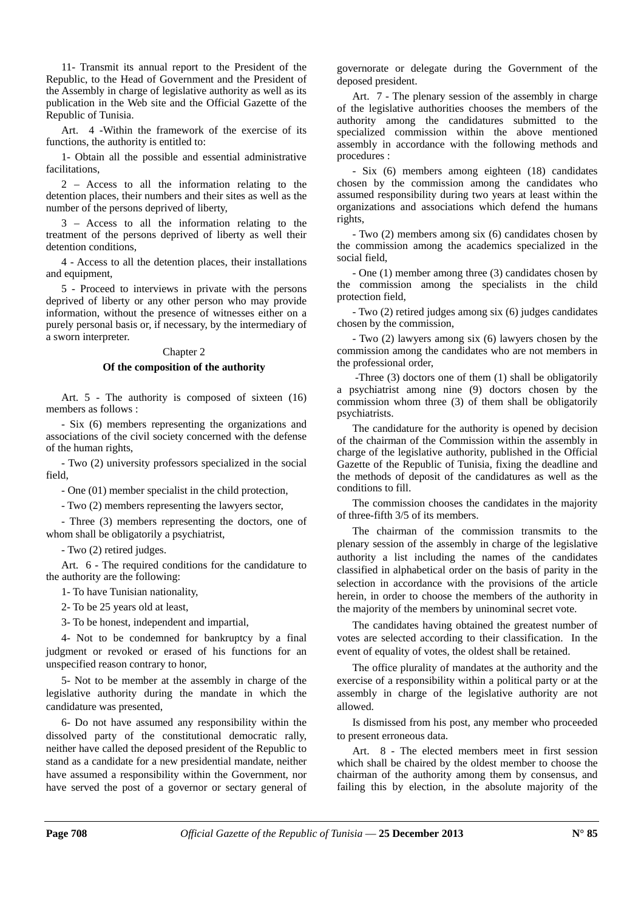11- Transmit its annual report to the President of the Republic, to the Head of Government and the President of the Assembly in charge of legislative authority as well as its publication in the Web site and the Official Gazette of the Republic of Tunisia.

Art. 4 -Within the framework of the exercise of its functions, the authority is entitled to:

1- Obtain all the possible and essential administrative facilitations,

2 – Access to all the information relating to the detention places, their numbers and their sites as well as the number of the persons deprived of liberty,

3 – Access to all the information relating to the treatment of the persons deprived of liberty as well their detention conditions,

4 - Access to all the detention places, their installations and equipment,

5 - Proceed to interviews in private with the persons deprived of liberty or any other person who may provide information, without the presence of witnesses either on a purely personal basis or, if necessary, by the intermediary of a sworn interpreter.

### Chapter 2

### **Of the composition of the authority**

Art. 5 - The authority is composed of sixteen (16) members as follows :

- Six (6) members representing the organizations and associations of the civil society concerned with the defense of the human rights,

- Two (2) university professors specialized in the social field,

- One (01) member specialist in the child protection,

- Two (2) members representing the lawyers sector,

- Three (3) members representing the doctors, one of whom shall be obligatorily a psychiatrist,

- Two (2) retired judges.

Art. 6 - The required conditions for the candidature to the authority are the following:

1- To have Tunisian nationality,

2- To be 25 years old at least,

3- To be honest, independent and impartial,

4- Not to be condemned for bankruptcy by a final judgment or revoked or erased of his functions for an unspecified reason contrary to honor,

5- Not to be member at the assembly in charge of the legislative authority during the mandate in which the candidature was presented,

6- Do not have assumed any responsibility within the dissolved party of the constitutional democratic rally, neither have called the deposed president of the Republic to stand as a candidate for a new presidential mandate, neither have assumed a responsibility within the Government, nor have served the post of a governor or sectary general of governorate or delegate during the Government of the deposed president.

Art. 7 - The plenary session of the assembly in charge of the legislative authorities chooses the members of the authority among the candidatures submitted to the specialized commission within the above mentioned assembly in accordance with the following methods and procedures :

- Six (6) members among eighteen (18) candidates chosen by the commission among the candidates who assumed responsibility during two years at least within the organizations and associations which defend the humans rights,

- Two (2) members among six (6) candidates chosen by the commission among the academics specialized in the social field,

- One (1) member among three (3) candidates chosen by the commission among the specialists in the child protection field,

- Two (2) retired judges among six (6) judges candidates chosen by the commission,

- Two (2) lawyers among six (6) lawyers chosen by the commission among the candidates who are not members in the professional order,

 -Three (3) doctors one of them (1) shall be obligatorily a psychiatrist among nine (9) doctors chosen by the commission whom three (3) of them shall be obligatorily psychiatrists.

The candidature for the authority is opened by decision of the chairman of the Commission within the assembly in charge of the legislative authority, published in the Official Gazette of the Republic of Tunisia, fixing the deadline and the methods of deposit of the candidatures as well as the conditions to fill.

The commission chooses the candidates in the majority of three-fifth 3/5 of its members.

The chairman of the commission transmits to the plenary session of the assembly in charge of the legislative authority a list including the names of the candidates classified in alphabetical order on the basis of parity in the selection in accordance with the provisions of the article herein, in order to choose the members of the authority in the majority of the members by uninominal secret vote.

The candidates having obtained the greatest number of votes are selected according to their classification. In the event of equality of votes, the oldest shall be retained.

The office plurality of mandates at the authority and the exercise of a responsibility within a political party or at the assembly in charge of the legislative authority are not allowed.

Is dismissed from his post, any member who proceeded to present erroneous data.

Art. 8 - The elected members meet in first session which shall be chaired by the oldest member to choose the chairman of the authority among them by consensus, and failing this by election, in the absolute majority of the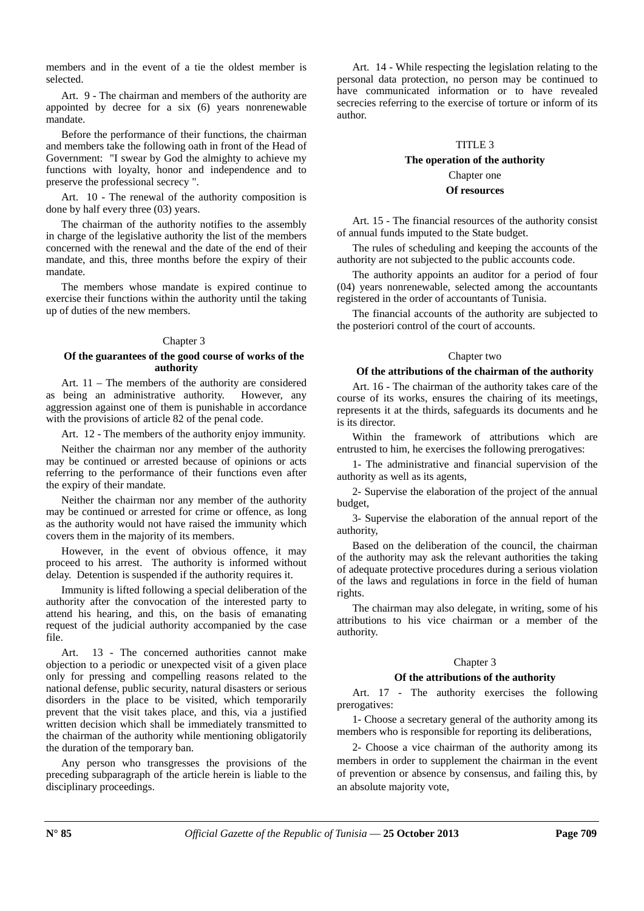members and in the event of a tie the oldest member is selected.

Art. 9 - The chairman and members of the authority are appointed by decree for a six (6) years nonrenewable mandate.

Before the performance of their functions, the chairman and members take the following oath in front of the Head of Government: "I swear by God the almighty to achieve my functions with loyalty, honor and independence and to preserve the professional secrecy ".

Art. 10 - The renewal of the authority composition is done by half every three (03) years.

The chairman of the authority notifies to the assembly in charge of the legislative authority the list of the members concerned with the renewal and the date of the end of their mandate, and this, three months before the expiry of their mandate.

The members whose mandate is expired continue to exercise their functions within the authority until the taking up of duties of the new members.

### Chapter 3

### **Of the guarantees of the good course of works of the authority**

Art. 11 – The members of the authority are considered as being an administrative authority. However, any aggression against one of them is punishable in accordance with the provisions of article 82 of the penal code.

Art. 12 - The members of the authority enjoy immunity.

Neither the chairman nor any member of the authority may be continued or arrested because of opinions or acts referring to the performance of their functions even after the expiry of their mandate.

Neither the chairman nor any member of the authority may be continued or arrested for crime or offence, as long as the authority would not have raised the immunity which covers them in the majority of its members.

However, in the event of obvious offence, it may proceed to his arrest. The authority is informed without delay. Detention is suspended if the authority requires it.

Immunity is lifted following a special deliberation of the authority after the convocation of the interested party to attend his hearing, and this, on the basis of emanating request of the judicial authority accompanied by the case file.

Art. 13 - The concerned authorities cannot make objection to a periodic or unexpected visit of a given place only for pressing and compelling reasons related to the national defense, public security, natural disasters or serious disorders in the place to be visited, which temporarily prevent that the visit takes place, and this, via a justified written decision which shall be immediately transmitted to the chairman of the authority while mentioning obligatorily the duration of the temporary ban.

Any person who transgresses the provisions of the preceding subparagraph of the article herein is liable to the disciplinary proceedings.

Art. 14 - While respecting the legislation relating to the personal data protection, no person may be continued to have communicated information or to have revealed secrecies referring to the exercise of torture or inform of its author.

### TITLE 3

## **The operation of the authority**  Chapter one

# **Of resources**

Art. 15 - The financial resources of the authority consist of annual funds imputed to the State budget.

The rules of scheduling and keeping the accounts of the authority are not subjected to the public accounts code.

The authority appoints an auditor for a period of four (04) years nonrenewable, selected among the accountants registered in the order of accountants of Tunisia.

The financial accounts of the authority are subjected to the posteriori control of the court of accounts.

### Chapter two

### **Of the attributions of the chairman of the authority**

Art. 16 - The chairman of the authority takes care of the course of its works, ensures the chairing of its meetings, represents it at the thirds, safeguards its documents and he is its director.

Within the framework of attributions which are entrusted to him, he exercises the following prerogatives:

1- The administrative and financial supervision of the authority as well as its agents,

2- Supervise the elaboration of the project of the annual budget,

3- Supervise the elaboration of the annual report of the authority,

Based on the deliberation of the council, the chairman of the authority may ask the relevant authorities the taking of adequate protective procedures during a serious violation of the laws and regulations in force in the field of human rights.

The chairman may also delegate, in writing, some of his attributions to his vice chairman or a member of the authority.

## Chapter 3

### **Of the attributions of the authority**

Art. 17 - The authority exercises the following prerogatives:

1- Choose a secretary general of the authority among its members who is responsible for reporting its deliberations,

2- Choose a vice chairman of the authority among its members in order to supplement the chairman in the event of prevention or absence by consensus, and failing this, by an absolute majority vote,